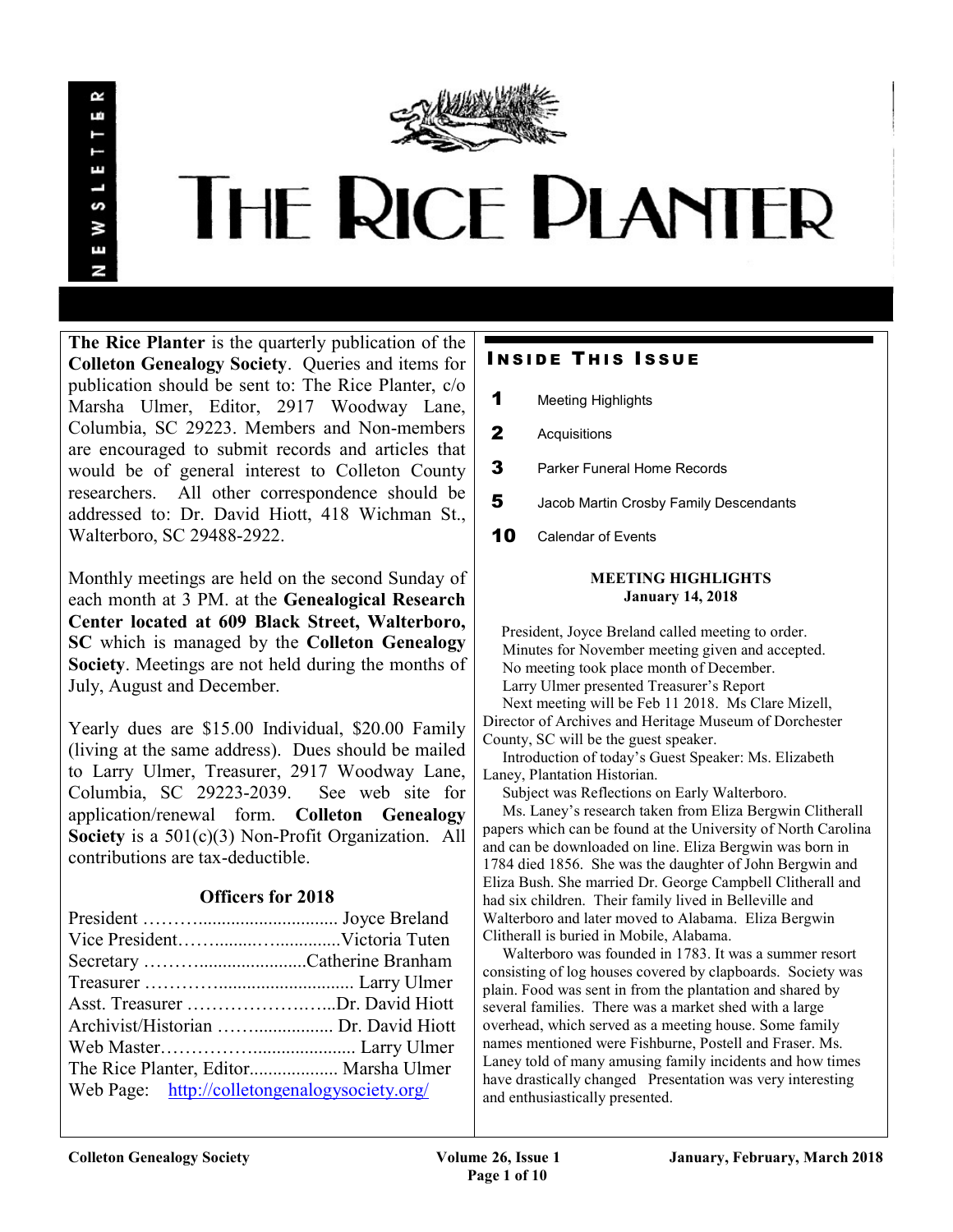

# **THE RICE PLANTER**

The Rice Planter is the quarterly publication of the Colleton Genealogy Society. Queries and items for publication should be sent to: The Rice Planter, c/o Marsha Ulmer, Editor, 2917 Woodway Lane, Columbia, SC 29223. Members and Non-members are encouraged to submit records and articles that would be of general interest to Colleton County researchers. All other correspondence should be addressed to: Dr. David Hiott, 418 Wichman St., Walterboro, SC 29488-2922.

Monthly meetings are held on the second Sunday of each month at 3 PM. at the Genealogical Research Center located at 609 Black Street, Walterboro, SC which is managed by the Colleton Genealogy Society. Meetings are not held during the months of July, August and December.

Yearly dues are \$15.00 Individual, \$20.00 Family (living at the same address). Dues should be mailed to Larry Ulmer, Treasurer, 2917 Woodway Lane, Columbia, SC 29223-2039. See web site for application/renewal form. Colleton Genealogy Society is a  $501(c)(3)$  Non-Profit Organization. All contributions are tax-deductible.

# Officers for 2018

| Asst. Treasurer Dr. David Hiott               |  |
|-----------------------------------------------|--|
|                                               |  |
|                                               |  |
| The Rice Planter, Editor Marsha Ulmer         |  |
| Web Page: http://colletongenalogysociety.org/ |  |

# **INSIDE THIS ISSUE**

- 1 Meeting Highlights
- 2 Acquisitions
- **3** Parker Funeral Home Records
- 5 Jacob Martin Crosby Family Descendants
- 10 Calendar of Events

## MEETING HIGHLIGHTS January 14, 2018

 President, Joyce Breland called meeting to order. Minutes for November meeting given and accepted. No meeting took place month of December. Larry Ulmer presented Treasurer's Report Next meeting will be Feb 11 2018. Ms Clare Mizell,

Director of Archives and Heritage Museum of Dorchester County, SC will be the guest speaker.

 Introduction of today's Guest Speaker: Ms. Elizabeth Laney, Plantation Historian.

Subject was Reflections on Early Walterboro.

 Ms. Laney's research taken from Eliza Bergwin Clitherall papers which can be found at the University of North Carolina and can be downloaded on line. Eliza Bergwin was born in 1784 died 1856. She was the daughter of John Bergwin and Eliza Bush. She married Dr. George Campbell Clitherall and had six children. Their family lived in Belleville and Walterboro and later moved to Alabama. Eliza Bergwin Clitherall is buried in Mobile, Alabama.

 Walterboro was founded in 1783. It was a summer resort consisting of log houses covered by clapboards. Society was plain. Food was sent in from the plantation and shared by several families. There was a market shed with a large overhead, which served as a meeting house. Some family names mentioned were Fishburne, Postell and Fraser. Ms. Laney told of many amusing family incidents and how times have drastically changed Presentation was very interesting and enthusiastically presented.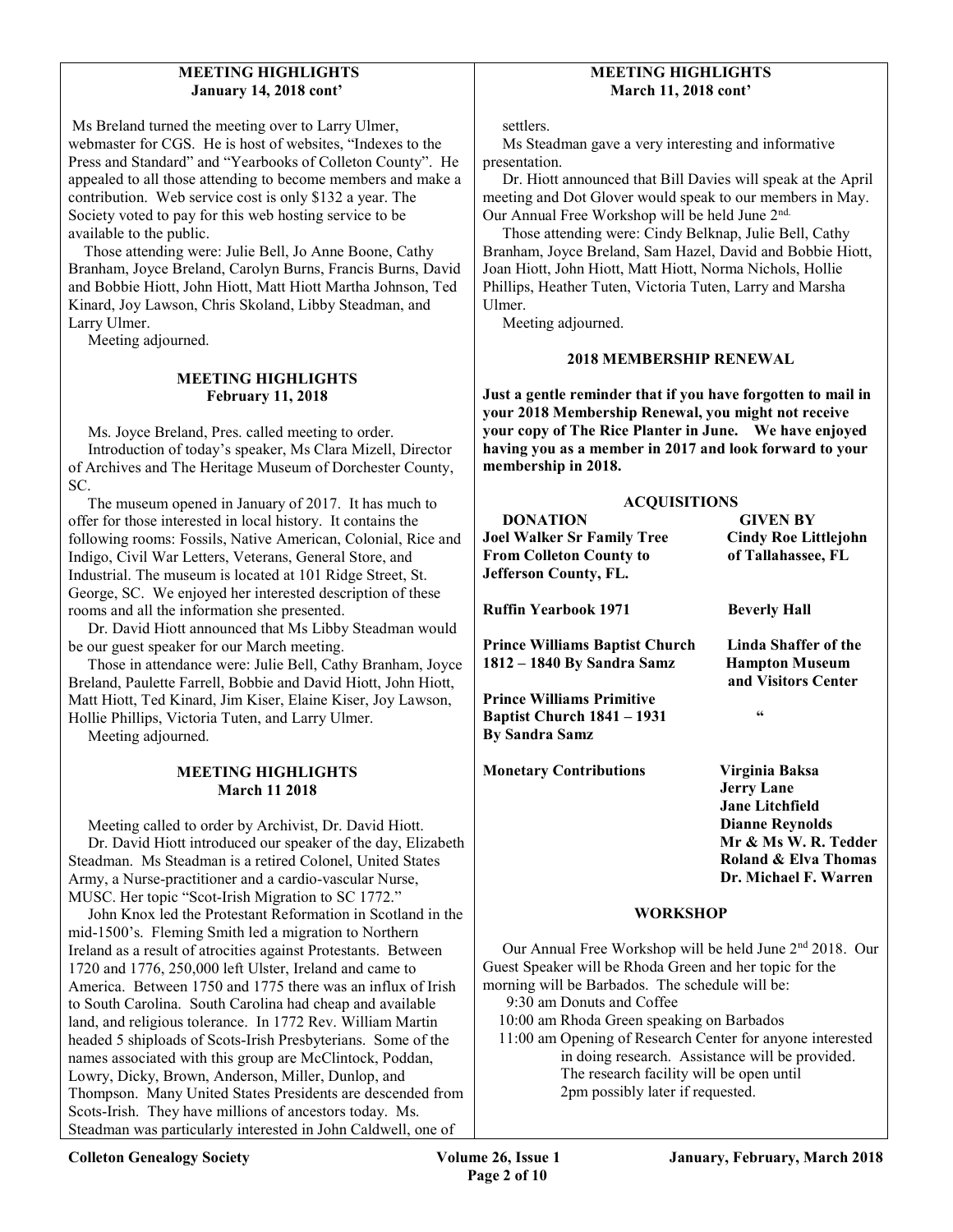## MEETING HIGHLIGHTS January 14, 2018 cont'

 Ms Breland turned the meeting over to Larry Ulmer, webmaster for CGS. He is host of websites, "Indexes to the Press and Standard" and "Yearbooks of Colleton County". He appealed to all those attending to become members and make a contribution. Web service cost is only \$132 a year. The Society voted to pay for this web hosting service to be available to the public.

 Those attending were: Julie Bell, Jo Anne Boone, Cathy Branham, Joyce Breland, Carolyn Burns, Francis Burns, David and Bobbie Hiott, John Hiott, Matt Hiott Martha Johnson, Ted Kinard, Joy Lawson, Chris Skoland, Libby Steadman, and Larry Ulmer.

Meeting adjourned.

#### MEETING HIGHLIGHTS February 11, 2018

 Ms. Joyce Breland, Pres. called meeting to order. Introduction of today's speaker, Ms Clara Mizell, Director of Archives and The Heritage Museum of Dorchester County, SC.

 The museum opened in January of 2017. It has much to offer for those interested in local history. It contains the following rooms: Fossils, Native American, Colonial, Rice and Indigo, Civil War Letters, Veterans, General Store, and Industrial. The museum is located at 101 Ridge Street, St. George, SC. We enjoyed her interested description of these rooms and all the information she presented.

 Dr. David Hiott announced that Ms Libby Steadman would be our guest speaker for our March meeting.

 Those in attendance were: Julie Bell, Cathy Branham, Joyce Breland, Paulette Farrell, Bobbie and David Hiott, John Hiott, Matt Hiott, Ted Kinard, Jim Kiser, Elaine Kiser, Joy Lawson, Hollie Phillips, Victoria Tuten, and Larry Ulmer.

Meeting adjourned.

#### MEETING HIGHLIGHTS March 11 2018

 Meeting called to order by Archivist, Dr. David Hiott. Dr. David Hiott introduced our speaker of the day, Elizabeth Steadman. Ms Steadman is a retired Colonel, United States Army, a Nurse-practitioner and a cardio-vascular Nurse, MUSC. Her topic "Scot-Irish Migration to SC 1772."

 John Knox led the Protestant Reformation in Scotland in the mid-1500's. Fleming Smith led a migration to Northern Ireland as a result of atrocities against Protestants. Between 1720 and 1776, 250,000 left Ulster, Ireland and came to America. Between 1750 and 1775 there was an influx of Irish to South Carolina. South Carolina had cheap and available land, and religious tolerance. In 1772 Rev. William Martin headed 5 shiploads of Scots-Irish Presbyterians. Some of the names associated with this group are McClintock, Poddan, Lowry, Dicky, Brown, Anderson, Miller, Dunlop, and Thompson. Many United States Presidents are descended from Scots-Irish. They have millions of ancestors today. Ms. Steadman was particularly interested in John Caldwell, one of

## MEETING HIGHLIGHTS March 11, 2018 cont'

settlers.

 Ms Steadman gave a very interesting and informative presentation.

 Dr. Hiott announced that Bill Davies will speak at the April meeting and Dot Glover would speak to our members in May. Our Annual Free Workshop will be held June 2<sup>nd.</sup>

 Those attending were: Cindy Belknap, Julie Bell, Cathy Branham, Joyce Breland, Sam Hazel, David and Bobbie Hiott, Joan Hiott, John Hiott, Matt Hiott, Norma Nichols, Hollie Phillips, Heather Tuten, Victoria Tuten, Larry and Marsha Ulmer.

Meeting adjourned.

## 2018 MEMBERSHIP RENEWAL

Just a gentle reminder that if you have forgotten to mail in your 2018 Membership Renewal, you might not receive your copy of The Rice Planter in June. We have enjoyed having you as a member in 2017 and look forward to your membership in 2018.

| <b>ACQUISITIONS</b>                   |                                              |
|---------------------------------------|----------------------------------------------|
| <b>DONATION</b>                       | <b>GIVEN BY</b>                              |
| Joel Walker Sr Family Tree            | <b>Cindy Roe Littlejohn</b>                  |
| From Colleton County to               | of Tallahassee, FL                           |
| Jefferson County, FL.                 |                                              |
| Ruffin Yearbook 1971                  | <b>Beverly Hall</b>                          |
| <b>Prince Williams Baptist Church</b> | Linda Shaffer of the                         |
| 1812 – 1840 By Sandra Samz            | <b>Hampton Museum</b><br>and Visitors Center |
| <b>Prince Williams Primitive</b>      |                                              |
| Baptist Church 1841 – 1931            | 66                                           |
| By Sandra Samz                        |                                              |
| <b>Monetary Contributions</b>         | Virginia Baksa                               |
|                                       | <b>Jerry Lane</b>                            |
|                                       | <b>Jane Litchfield</b>                       |
|                                       | <b>Dianne Reynolds</b>                       |
|                                       | Mr & Ms W. R. Tedder                         |
|                                       | Roland & Elva Thomas                         |
|                                       | Dr. Michael F. Warren                        |
|                                       |                                              |

#### **WORKSHOP**

 Our Annual Free Workshop will be held June 2nd 2018. Our Guest Speaker will be Rhoda Green and her topic for the morning will be Barbados. The schedule will be:

9:30 am Donuts and Coffee

10:00 am Rhoda Green speaking on Barbados

 11:00 am Opening of Research Center for anyone interested in doing research. Assistance will be provided. The research facility will be open until 2pm possibly later if requested.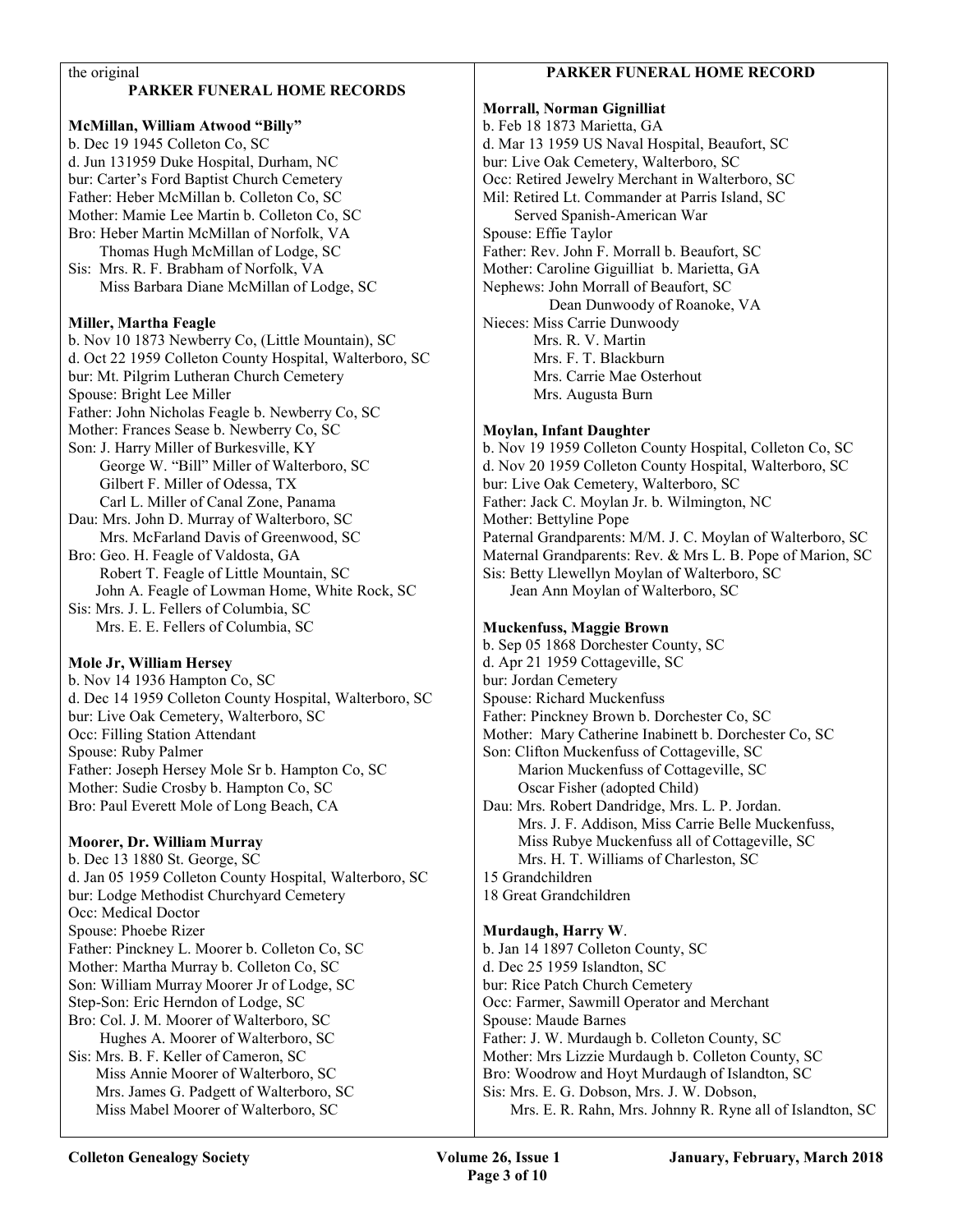#### the original

## PARKER FUNERAL HOME RECORDS

McMillan, William Atwood "Billy" b. Dec 19 1945 Colleton Co, SC d. Jun 131959 Duke Hospital, Durham, NC bur: Carter's Ford Baptist Church Cemetery Father: Heber McMillan b. Colleton Co, SC Mother: Mamie Lee Martin b. Colleton Co, SC Bro: Heber Martin McMillan of Norfolk, VA Thomas Hugh McMillan of Lodge, SC Sis: Mrs. R. F. Brabham of Norfolk, VA Miss Barbara Diane McMillan of Lodge, SC

#### Miller, Martha Feagle

b. Nov 10 1873 Newberry Co, (Little Mountain), SC d. Oct 22 1959 Colleton County Hospital, Walterboro, SC bur: Mt. Pilgrim Lutheran Church Cemetery Spouse: Bright Lee Miller Father: John Nicholas Feagle b. Newberry Co, SC Mother: Frances Sease b. Newberry Co, SC Son: J. Harry Miller of Burkesville, KY George W. "Bill" Miller of Walterboro, SC Gilbert F. Miller of Odessa, TX Carl L. Miller of Canal Zone, Panama Dau: Mrs. John D. Murray of Walterboro, SC Mrs. McFarland Davis of Greenwood, SC Bro: Geo. H. Feagle of Valdosta, GA Robert T. Feagle of Little Mountain, SC John A. Feagle of Lowman Home, White Rock, SC Sis: Mrs. J. L. Fellers of Columbia, SC Mrs. E. E. Fellers of Columbia, SC

## Mole Jr, William Hersey

b. Nov 14 1936 Hampton Co, SC d. Dec 14 1959 Colleton County Hospital, Walterboro, SC bur: Live Oak Cemetery, Walterboro, SC Occ: Filling Station Attendant Spouse: Ruby Palmer Father: Joseph Hersey Mole Sr b. Hampton Co, SC Mother: Sudie Crosby b. Hampton Co, SC Bro: Paul Everett Mole of Long Beach, CA

## Moorer, Dr. William Murray

b. Dec 13 1880 St. George, SC d. Jan 05 1959 Colleton County Hospital, Walterboro, SC bur: Lodge Methodist Churchyard Cemetery Occ: Medical Doctor Spouse: Phoebe Rizer Father: Pinckney L. Moorer b. Colleton Co, SC Mother: Martha Murray b. Colleton Co, SC Son: William Murray Moorer Jr of Lodge, SC Step-Son: Eric Herndon of Lodge, SC Bro: Col. J. M. Moorer of Walterboro, SC Hughes A. Moorer of Walterboro, SC Sis: Mrs. B. F. Keller of Cameron, SC Miss Annie Moorer of Walterboro, SC Mrs. James G. Padgett of Walterboro, SC Miss Mabel Moorer of Walterboro, SC

## PARKER FUNERAL HOME RECORD

Morrall, Norman Gignilliat b. Feb 18 1873 Marietta, GA d. Mar 13 1959 US Naval Hospital, Beaufort, SC bur: Live Oak Cemetery, Walterboro, SC Occ: Retired Jewelry Merchant in Walterboro, SC Mil: Retired Lt. Commander at Parris Island, SC Served Spanish-American War Spouse: Effie Taylor Father: Rev. John F. Morrall b. Beaufort, SC Mother: Caroline Giguilliat b. Marietta, GA Nephews: John Morrall of Beaufort, SC Dean Dunwoody of Roanoke, VA Nieces: Miss Carrie Dunwoody Mrs. R. V. Martin Mrs. F. T. Blackburn Mrs. Carrie Mae Osterhout Mrs. Augusta Burn

## Moylan, Infant Daughter

b. Nov 19 1959 Colleton County Hospital, Colleton Co, SC d. Nov 20 1959 Colleton County Hospital, Walterboro, SC bur: Live Oak Cemetery, Walterboro, SC Father: Jack C. Moylan Jr. b. Wilmington, NC Mother: Bettyline Pope Paternal Grandparents: M/M. J. C. Moylan of Walterboro, SC Maternal Grandparents: Rev. & Mrs L. B. Pope of Marion, SC Sis: Betty Llewellyn Moylan of Walterboro, SC Jean Ann Moylan of Walterboro, SC

## Muckenfuss, Maggie Brown

b. Sep 05 1868 Dorchester County, SC d. Apr 21 1959 Cottageville, SC bur: Jordan Cemetery Spouse: Richard Muckenfuss Father: Pinckney Brown b. Dorchester Co, SC Mother: Mary Catherine Inabinett b. Dorchester Co, SC Son: Clifton Muckenfuss of Cottageville, SC Marion Muckenfuss of Cottageville, SC Oscar Fisher (adopted Child) Dau: Mrs. Robert Dandridge, Mrs. L. P. Jordan. Mrs. J. F. Addison, Miss Carrie Belle Muckenfuss, Miss Rubye Muckenfuss all of Cottageville, SC Mrs. H. T. Williams of Charleston, SC 15 Grandchildren 18 Great Grandchildren

## Murdaugh, Harry W.

b. Jan 14 1897 Colleton County, SC d. Dec 25 1959 Islandton, SC bur: Rice Patch Church Cemetery Occ: Farmer, Sawmill Operator and Merchant Spouse: Maude Barnes Father: J. W. Murdaugh b. Colleton County, SC Mother: Mrs Lizzie Murdaugh b. Colleton County, SC Bro: Woodrow and Hoyt Murdaugh of Islandton, SC Sis: Mrs. E. G. Dobson, Mrs. J. W. Dobson, Mrs. E. R. Rahn, Mrs. Johnny R. Ryne all of Islandton, SC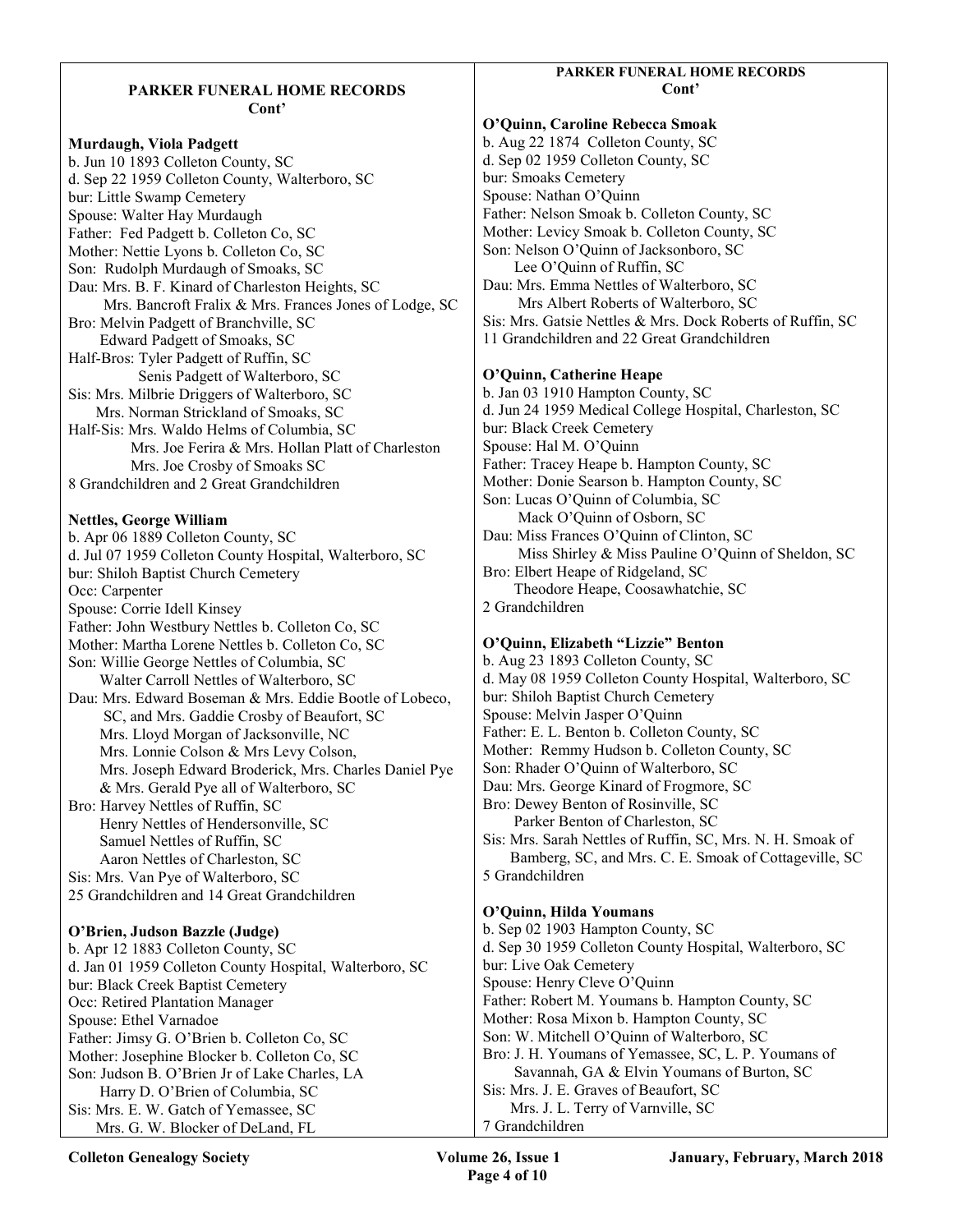#### PARKER FUNERAL HOME RECORDS Cont'

Murdaugh, Viola Padgett b. Jun 10 1893 Colleton County, SC d. Sep 22 1959 Colleton County, Walterboro, SC bur: Little Swamp Cemetery Spouse: Walter Hay Murdaugh Father: Fed Padgett b. Colleton Co, SC Mother: Nettie Lyons b. Colleton Co, SC Son: Rudolph Murdaugh of Smoaks, SC Dau: Mrs. B. F. Kinard of Charleston Heights, SC Mrs. Bancroft Fralix & Mrs. Frances Jones of Lodge, SC Bro: Melvin Padgett of Branchville, SC Edward Padgett of Smoaks, SC Half-Bros: Tyler Padgett of Ruffin, SC Senis Padgett of Walterboro, SC Sis: Mrs. Milbrie Driggers of Walterboro, SC Mrs. Norman Strickland of Smoaks, SC Half-Sis: Mrs. Waldo Helms of Columbia, SC Mrs. Joe Ferira & Mrs. Hollan Platt of Charleston Mrs. Joe Crosby of Smoaks SC 8 Grandchildren and 2 Great Grandchildren

## Nettles, George William

b. Apr 06 1889 Colleton County, SC d. Jul 07 1959 Colleton County Hospital, Walterboro, SC bur: Shiloh Baptist Church Cemetery Occ: Carpenter Spouse: Corrie Idell Kinsey Father: John Westbury Nettles b. Colleton Co, SC Mother: Martha Lorene Nettles b. Colleton Co, SC Son: Willie George Nettles of Columbia, SC Walter Carroll Nettles of Walterboro, SC Dau: Mrs. Edward Boseman & Mrs. Eddie Bootle of Lobeco, SC, and Mrs. Gaddie Crosby of Beaufort, SC Mrs. Lloyd Morgan of Jacksonville, NC Mrs. Lonnie Colson & Mrs Levy Colson, Mrs. Joseph Edward Broderick, Mrs. Charles Daniel Pye & Mrs. Gerald Pye all of Walterboro, SC Bro: Harvey Nettles of Ruffin, SC Henry Nettles of Hendersonville, SC Samuel Nettles of Ruffin, SC Aaron Nettles of Charleston, SC Sis: Mrs. Van Pye of Walterboro, SC 25 Grandchildren and 14 Great Grandchildren O'Brien, Judson Bazzle (Judge) b. Apr 12 1883 Colleton County, SC d. Jan 01 1959 Colleton County Hospital, Walterboro, SC bur: Black Creek Baptist Cemetery Occ: Retired Plantation Manager Spouse: Ethel Varnadoe

Father: Jimsy G. O'Brien b. Colleton Co, SC Mother: Josephine Blocker b. Colleton Co, SC Son: Judson B. O'Brien Jr of Lake Charles, LA Harry D. O'Brien of Columbia, SC Sis: Mrs. E. W. Gatch of Yemassee, SC Mrs. G. W. Blocker of DeLand, FL

## PARKER FUNERAL HOME RECORDS Cont?

O'Quinn, Caroline Rebecca Smoak b. Aug 22 1874 Colleton County, SC d. Sep 02 1959 Colleton County, SC bur: Smoaks Cemetery Spouse: Nathan O'Quinn Father: Nelson Smoak b. Colleton County, SC Mother: Levicy Smoak b. Colleton County, SC Son: Nelson O'Quinn of Jacksonboro, SC Lee O'Quinn of Ruffin, SC Dau: Mrs. Emma Nettles of Walterboro, SC Mrs Albert Roberts of Walterboro, SC Sis: Mrs. Gatsie Nettles & Mrs. Dock Roberts of Ruffin, SC 11 Grandchildren and 22 Great Grandchildren O'Quinn, Catherine Heape

b. Jan 03 1910 Hampton County, SC d. Jun 24 1959 Medical College Hospital, Charleston, SC bur: Black Creek Cemetery Spouse: Hal M. O'Quinn Father: Tracey Heape b. Hampton County, SC Mother: Donie Searson b. Hampton County, SC Son: Lucas O'Quinn of Columbia, SC Mack O'Quinn of Osborn, SC Dau: Miss Frances O'Quinn of Clinton, SC Miss Shirley & Miss Pauline O'Quinn of Sheldon, SC Bro: Elbert Heape of Ridgeland, SC Theodore Heape, Coosawhatchie, SC 2 Grandchildren

## O'Quinn, Elizabeth "Lizzie" Benton

b. Aug 23 1893 Colleton County, SC d. May 08 1959 Colleton County Hospital, Walterboro, SC bur: Shiloh Baptist Church Cemetery Spouse: Melvin Jasper O'Quinn Father: E. L. Benton b. Colleton County, SC Mother: Remmy Hudson b. Colleton County, SC Son: Rhader O'Quinn of Walterboro, SC Dau: Mrs. George Kinard of Frogmore, SC Bro: Dewey Benton of Rosinville, SC Parker Benton of Charleston, SC Sis: Mrs. Sarah Nettles of Ruffin, SC, Mrs. N. H. Smoak of Bamberg, SC, and Mrs. C. E. Smoak of Cottageville, SC 5 Grandchildren

## O'Quinn, Hilda Youmans

b. Sep 02 1903 Hampton County, SC d. Sep 30 1959 Colleton County Hospital, Walterboro, SC bur: Live Oak Cemetery Spouse: Henry Cleve O'Quinn Father: Robert M. Youmans b. Hampton County, SC Mother: Rosa Mixon b. Hampton County, SC Son: W. Mitchell O'Quinn of Walterboro, SC Bro: J. H. Youmans of Yemassee, SC, L. P. Youmans of Savannah, GA & Elvin Youmans of Burton, SC Sis: Mrs. J. E. Graves of Beaufort, SC Mrs. J. L. Terry of Varnville, SC 7 Grandchildren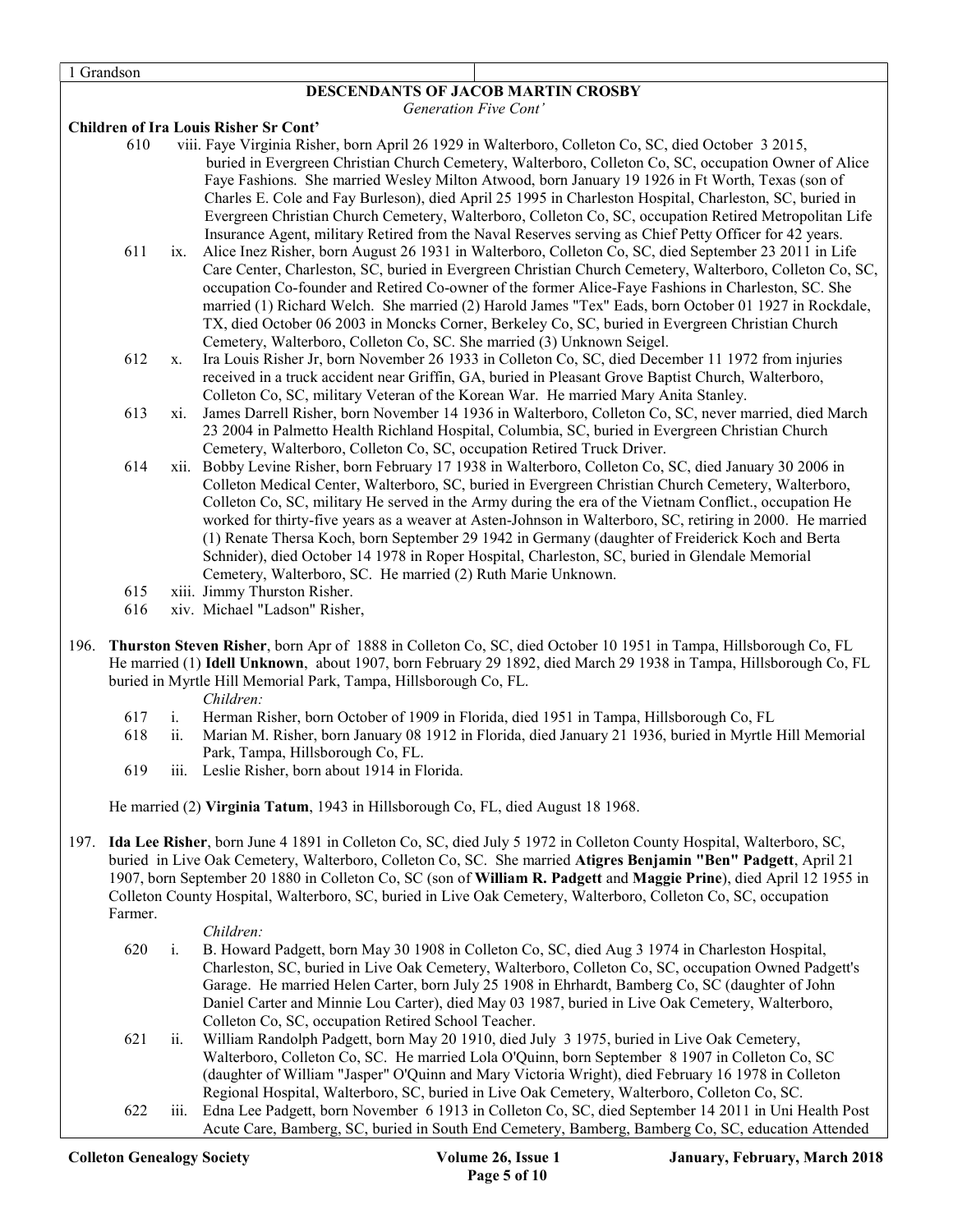1 Grandson

## DESCENDANTS OF JACOB MARTIN CROSBY

Generation Five Cont'

#### Children of Ira Louis Risher Sr Cont'

- 610 viii. Faye Virginia Risher, born April 26 1929 in Walterboro, Colleton Co, SC, died October 3 2015, buried in Evergreen Christian Church Cemetery, Walterboro, Colleton Co, SC, occupation Owner of Alice Faye Fashions. She married Wesley Milton Atwood, born January 19 1926 in Ft Worth, Texas (son of Charles E. Cole and Fay Burleson), died April 25 1995 in Charleston Hospital, Charleston, SC, buried in Evergreen Christian Church Cemetery, Walterboro, Colleton Co, SC, occupation Retired Metropolitan Life Insurance Agent, military Retired from the Naval Reserves serving as Chief Petty Officer for 42 years.
- 611 ix. Alice Inez Risher, born August 26 1931 in Walterboro, Colleton Co, SC, died September 23 2011 in Life Care Center, Charleston, SC, buried in Evergreen Christian Church Cemetery, Walterboro, Colleton Co, SC, occupation Co-founder and Retired Co-owner of the former Alice-Faye Fashions in Charleston, SC. She married (1) Richard Welch. She married (2) Harold James "Tex" Eads, born October 01 1927 in Rockdale, TX, died October 06 2003 in Moncks Corner, Berkeley Co, SC, buried in Evergreen Christian Church Cemetery, Walterboro, Colleton Co, SC. She married (3) Unknown Seigel.
- 612 x. Ira Louis Risher Jr, born November 26 1933 in Colleton Co, SC, died December 11 1972 from injuries received in a truck accident near Griffin, GA, buried in Pleasant Grove Baptist Church, Walterboro, Colleton Co, SC, military Veteran of the Korean War. He married Mary Anita Stanley.
- 613 xi. James Darrell Risher, born November 14 1936 in Walterboro, Colleton Co, SC, never married, died March 23 2004 in Palmetto Health Richland Hospital, Columbia, SC, buried in Evergreen Christian Church Cemetery, Walterboro, Colleton Co, SC, occupation Retired Truck Driver.
- 614 xii. Bobby Levine Risher, born February 17 1938 in Walterboro, Colleton Co, SC, died January 30 2006 in Colleton Medical Center, Walterboro, SC, buried in Evergreen Christian Church Cemetery, Walterboro, Colleton Co, SC, military He served in the Army during the era of the Vietnam Conflict., occupation He worked for thirty-five years as a weaver at Asten-Johnson in Walterboro, SC, retiring in 2000. He married (1) Renate Thersa Koch, born September 29 1942 in Germany (daughter of Freiderick Koch and Berta Schnider), died October 14 1978 in Roper Hospital, Charleston, SC, buried in Glendale Memorial Cemetery, Walterboro, SC. He married (2) Ruth Marie Unknown.
- 615 xiii. Jimmy Thurston Risher.
- 616 xiv. Michael "Ladson" Risher,
- 196. Thurston Steven Risher, born Apr of 1888 in Colleton Co, SC, died October 10 1951 in Tampa, Hillsborough Co, FL He married (1) Idell Unknown, about 1907, born February 29 1892, died March 29 1938 in Tampa, Hillsborough Co, FL buried in Myrtle Hill Memorial Park, Tampa, Hillsborough Co, FL.

Children:

- 617 i. Herman Risher, born October of 1909 in Florida, died 1951 in Tampa, Hillsborough Co, FL
- 618 ii. Marian M. Risher, born January 08 1912 in Florida, died January 21 1936, buried in Myrtle Hill Memorial Park, Tampa, Hillsborough Co, FL.
- 619 iii. Leslie Risher, born about 1914 in Florida.

He married (2) Virginia Tatum, 1943 in Hillsborough Co, FL, died August 18 1968.

197. Ida Lee Risher, born June 4 1891 in Colleton Co, SC, died July 5 1972 in Colleton County Hospital, Walterboro, SC, buried in Live Oak Cemetery, Walterboro, Colleton Co, SC. She married Atigres Benjamin "Ben" Padgett, April 21 1907, born September 20 1880 in Colleton Co, SC (son of William R. Padgett and Maggie Prine), died April 12 1955 in Colleton County Hospital, Walterboro, SC, buried in Live Oak Cemetery, Walterboro, Colleton Co, SC, occupation Farmer.

#### Children:

- 620 i. B. Howard Padgett, born May 30 1908 in Colleton Co, SC, died Aug 3 1974 in Charleston Hospital, Charleston, SC, buried in Live Oak Cemetery, Walterboro, Colleton Co, SC, occupation Owned Padgett's Garage. He married Helen Carter, born July 25 1908 in Ehrhardt, Bamberg Co, SC (daughter of John Daniel Carter and Minnie Lou Carter), died May 03 1987, buried in Live Oak Cemetery, Walterboro, Colleton Co, SC, occupation Retired School Teacher.
- 621 ii. William Randolph Padgett, born May 20 1910, died July 3 1975, buried in Live Oak Cemetery, Walterboro, Colleton Co, SC. He married Lola O'Quinn, born September 8 1907 in Colleton Co, SC (daughter of William "Jasper" O'Quinn and Mary Victoria Wright), died February 16 1978 in Colleton Regional Hospital, Walterboro, SC, buried in Live Oak Cemetery, Walterboro, Colleton Co, SC.
- 622 iii. Edna Lee Padgett, born November 6 1913 in Colleton Co, SC, died September 14 2011 in Uni Health Post Acute Care, Bamberg, SC, buried in South End Cemetery, Bamberg, Bamberg Co, SC, education Attended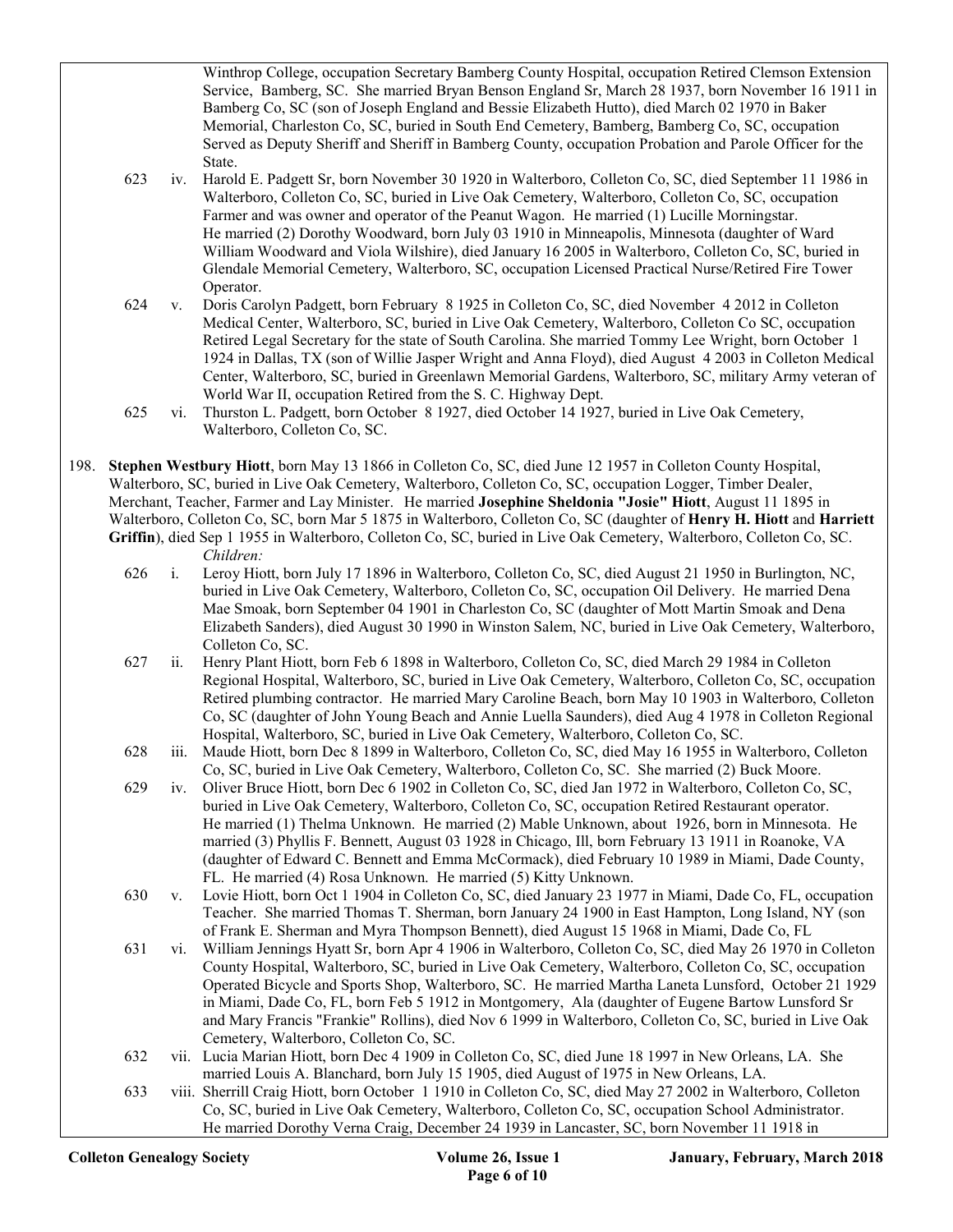Winthrop College, occupation Secretary Bamberg County Hospital, occupation Retired Clemson Extension Service, Bamberg, SC. She married Bryan Benson England Sr, March 28 1937, born November 16 1911 in Bamberg Co, SC (son of Joseph England and Bessie Elizabeth Hutto), died March 02 1970 in Baker Memorial, Charleston Co, SC, buried in South End Cemetery, Bamberg, Bamberg Co, SC, occupation Served as Deputy Sheriff and Sheriff in Bamberg County, occupation Probation and Parole Officer for the State.

- 623 iv. Harold E. Padgett Sr, born November 30 1920 in Walterboro, Colleton Co, SC, died September 11 1986 in Walterboro, Colleton Co, SC, buried in Live Oak Cemetery, Walterboro, Colleton Co, SC, occupation Farmer and was owner and operator of the Peanut Wagon. He married (1) Lucille Morningstar. He married (2) Dorothy Woodward, born July 03 1910 in Minneapolis, Minnesota (daughter of Ward William Woodward and Viola Wilshire), died January 16 2005 in Walterboro, Colleton Co, SC, buried in Glendale Memorial Cemetery, Walterboro, SC, occupation Licensed Practical Nurse/Retired Fire Tower Operator.
- 624 v. Doris Carolyn Padgett, born February 8 1925 in Colleton Co, SC, died November 4 2012 in Colleton Medical Center, Walterboro, SC, buried in Live Oak Cemetery, Walterboro, Colleton Co SC, occupation Retired Legal Secretary for the state of South Carolina. She married Tommy Lee Wright, born October 1 1924 in Dallas, TX (son of Willie Jasper Wright and Anna Floyd), died August 4 2003 in Colleton Medical Center, Walterboro, SC, buried in Greenlawn Memorial Gardens, Walterboro, SC, military Army veteran of World War II, occupation Retired from the S. C. Highway Dept.
- 625 vi. Thurston L. Padgett, born October 8 1927, died October 14 1927, buried in Live Oak Cemetery, Walterboro, Colleton Co, SC.
- 198. Stephen Westbury Hiott, born May 13 1866 in Colleton Co, SC, died June 12 1957 in Colleton County Hospital, Walterboro, SC, buried in Live Oak Cemetery, Walterboro, Colleton Co, SC, occupation Logger, Timber Dealer, Merchant, Teacher, Farmer and Lay Minister. He married Josephine Sheldonia "Josie" Hiott, August 11 1895 in Walterboro, Colleton Co, SC, born Mar 5 1875 in Walterboro, Colleton Co, SC (daughter of Henry H. Hiott and Harriett Griffin), died Sep 1 1955 in Walterboro, Colleton Co, SC, buried in Live Oak Cemetery, Walterboro, Colleton Co, SC. Children:
	- 626 i. Leroy Hiott, born July 17 1896 in Walterboro, Colleton Co, SC, died August 21 1950 in Burlington, NC, buried in Live Oak Cemetery, Walterboro, Colleton Co, SC, occupation Oil Delivery. He married Dena Mae Smoak, born September 04 1901 in Charleston Co, SC (daughter of Mott Martin Smoak and Dena Elizabeth Sanders), died August 30 1990 in Winston Salem, NC, buried in Live Oak Cemetery, Walterboro, Colleton Co, SC.
	- 627 ii. Henry Plant Hiott, born Feb 6 1898 in Walterboro, Colleton Co, SC, died March 29 1984 in Colleton Regional Hospital, Walterboro, SC, buried in Live Oak Cemetery, Walterboro, Colleton Co, SC, occupation Retired plumbing contractor. He married Mary Caroline Beach, born May 10 1903 in Walterboro, Colleton Co, SC (daughter of John Young Beach and Annie Luella Saunders), died Aug 4 1978 in Colleton Regional Hospital, Walterboro, SC, buried in Live Oak Cemetery, Walterboro, Colleton Co, SC.
	- 628 iii. Maude Hiott, born Dec 8 1899 in Walterboro, Colleton Co, SC, died May 16 1955 in Walterboro, Colleton Co, SC, buried in Live Oak Cemetery, Walterboro, Colleton Co, SC. She married (2) Buck Moore.
	- 629 iv. Oliver Bruce Hiott, born Dec 6 1902 in Colleton Co, SC, died Jan 1972 in Walterboro, Colleton Co, SC, buried in Live Oak Cemetery, Walterboro, Colleton Co, SC, occupation Retired Restaurant operator. He married (1) Thelma Unknown. He married (2) Mable Unknown, about 1926, born in Minnesota. He married (3) Phyllis F. Bennett, August 03 1928 in Chicago, Ill, born February 13 1911 in Roanoke, VA (daughter of Edward C. Bennett and Emma McCormack), died February 10 1989 in Miami, Dade County, FL. He married (4) Rosa Unknown. He married (5) Kitty Unknown.
	- 630 v. Lovie Hiott, born Oct 1 1904 in Colleton Co, SC, died January 23 1977 in Miami, Dade Co, FL, occupation Teacher. She married Thomas T. Sherman, born January 24 1900 in East Hampton, Long Island, NY (son of Frank E. Sherman and Myra Thompson Bennett), died August 15 1968 in Miami, Dade Co, FL
	- 631 vi. William Jennings Hyatt Sr, born Apr 4 1906 in Walterboro, Colleton Co, SC, died May 26 1970 in Colleton County Hospital, Walterboro, SC, buried in Live Oak Cemetery, Walterboro, Colleton Co, SC, occupation Operated Bicycle and Sports Shop, Walterboro, SC. He married Martha Laneta Lunsford, October 21 1929 in Miami, Dade Co, FL, born Feb 5 1912 in Montgomery, Ala (daughter of Eugene Bartow Lunsford Sr and Mary Francis "Frankie" Rollins), died Nov 6 1999 in Walterboro, Colleton Co, SC, buried in Live Oak Cemetery, Walterboro, Colleton Co, SC.
	- 632 vii. Lucia Marian Hiott, born Dec 4 1909 in Colleton Co, SC, died June 18 1997 in New Orleans, LA. She married Louis A. Blanchard, born July 15 1905, died August of 1975 in New Orleans, LA.
	- 633 viii. Sherrill Craig Hiott, born October 1 1910 in Colleton Co, SC, died May 27 2002 in Walterboro, Colleton Co, SC, buried in Live Oak Cemetery, Walterboro, Colleton Co, SC, occupation School Administrator. He married Dorothy Verna Craig, December 24 1939 in Lancaster, SC, born November 11 1918 in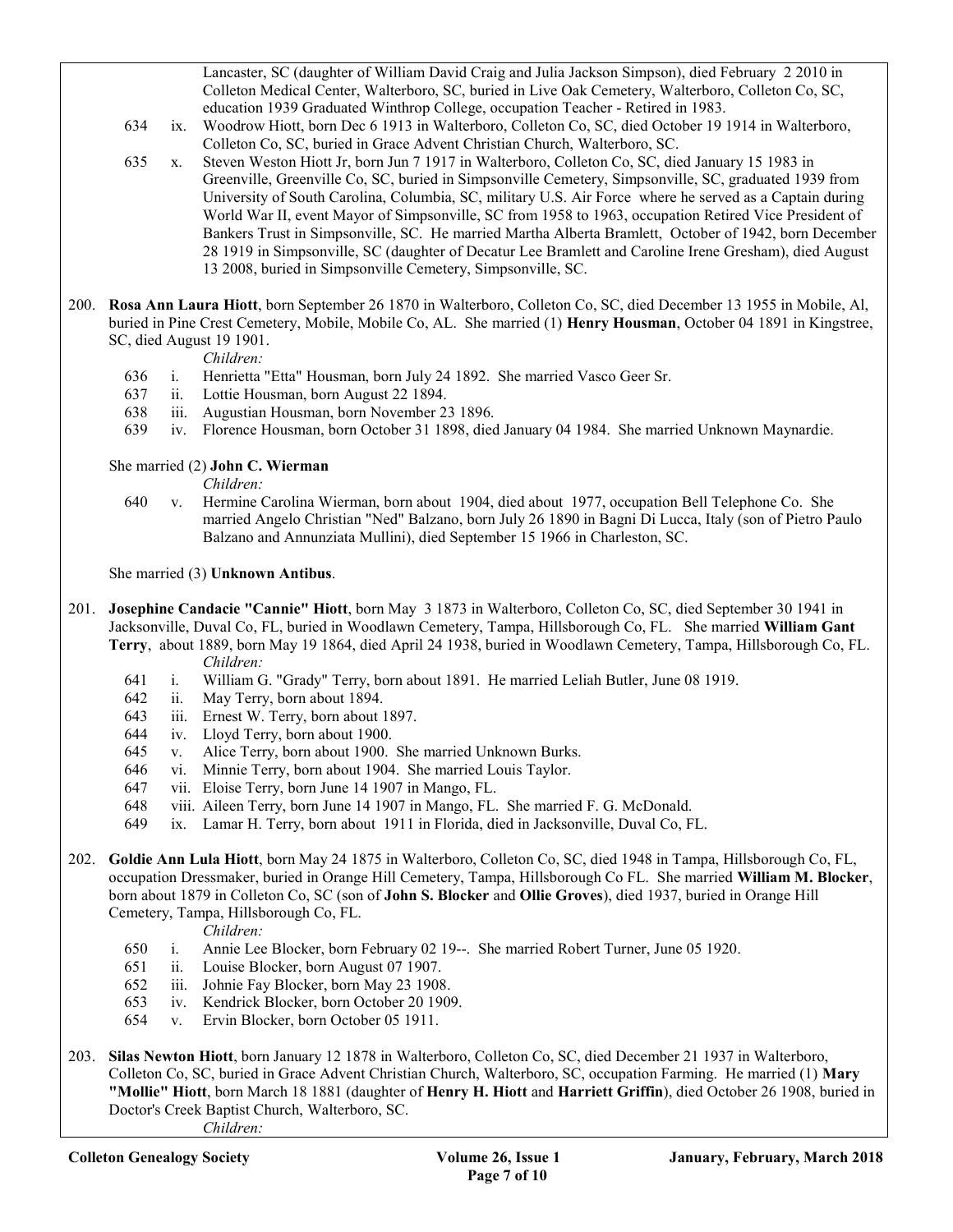Lancaster, SC (daughter of William David Craig and Julia Jackson Simpson), died February 2 2010 in Colleton Medical Center, Walterboro, SC, buried in Live Oak Cemetery, Walterboro, Colleton Co, SC, education 1939 Graduated Winthrop College, occupation Teacher - Retired in 1983.

- 634 ix. Woodrow Hiott, born Dec 6 1913 in Walterboro, Colleton Co, SC, died October 19 1914 in Walterboro, Colleton Co, SC, buried in Grace Advent Christian Church, Walterboro, SC.
- 635 x. Steven Weston Hiott Jr, born Jun 7 1917 in Walterboro, Colleton Co, SC, died January 15 1983 in Greenville, Greenville Co, SC, buried in Simpsonville Cemetery, Simpsonville, SC, graduated 1939 from University of South Carolina, Columbia, SC, military U.S. Air Force where he served as a Captain during World War II, event Mayor of Simpsonville, SC from 1958 to 1963, occupation Retired Vice President of Bankers Trust in Simpsonville, SC. He married Martha Alberta Bramlett, October of 1942, born December 28 1919 in Simpsonville, SC (daughter of Decatur Lee Bramlett and Caroline Irene Gresham), died August 13 2008, buried in Simpsonville Cemetery, Simpsonville, SC.
- 200. Rosa Ann Laura Hiott, born September 26 1870 in Walterboro, Colleton Co, SC, died December 13 1955 in Mobile, Al, buried in Pine Crest Cemetery, Mobile, Mobile Co, AL. She married (1) Henry Housman, October 04 1891 in Kingstree, SC, died August 19 1901.
	- Children:
	- 636 i. Henrietta "Etta" Housman, born July 24 1892. She married Vasco Geer Sr.
	- 637 ii. Lottie Housman, born August 22 1894.
	- 638 iii. Augustian Housman, born November 23 1896.
	- 639 iv. Florence Housman, born October 31 1898, died January 04 1984. She married Unknown Maynardie.

She married (2) John C. Wierman

Children:

 640 v. Hermine Carolina Wierman, born about 1904, died about 1977, occupation Bell Telephone Co. She married Angelo Christian "Ned" Balzano, born July 26 1890 in Bagni Di Lucca, Italy (son of Pietro Paulo Balzano and Annunziata Mullini), died September 15 1966 in Charleston, SC.

She married (3) Unknown Antibus.

- 201. Josephine Candacie "Cannie" Hiott, born May 3 1873 in Walterboro, Colleton Co, SC, died September 30 1941 in Jacksonville, Duval Co, FL, buried in Woodlawn Cemetery, Tampa, Hillsborough Co, FL. She married William Gant Terry, about 1889, born May 19 1864, died April 24 1938, buried in Woodlawn Cemetery, Tampa, Hillsborough Co, FL. Children:
	- 641 i. William G. "Grady" Terry, born about 1891. He married Leliah Butler, June 08 1919.
	- 642 ii. May Terry, born about 1894.
	- 643 iii. Ernest W. Terry, born about 1897.
	- 644 iv. Lloyd Terry, born about 1900.
	- 645 v. Alice Terry, born about 1900. She married Unknown Burks.
	- 646 vi. Minnie Terry, born about 1904. She married Louis Taylor.
	- 647 vii. Eloise Terry, born June 14 1907 in Mango, FL.
	- 648 viii. Aileen Terry, born June 14 1907 in Mango, FL. She married F. G. McDonald.
	- 649 ix. Lamar H. Terry, born about 1911 in Florida, died in Jacksonville, Duval Co, FL.
- 202. Goldie Ann Lula Hiott, born May 24 1875 in Walterboro, Colleton Co, SC, died 1948 in Tampa, Hillsborough Co, FL, occupation Dressmaker, buried in Orange Hill Cemetery, Tampa, Hillsborough Co FL. She married William M. Blocker, born about 1879 in Colleton Co, SC (son of John S. Blocker and Ollie Groves), died 1937, buried in Orange Hill Cemetery, Tampa, Hillsborough Co, FL.

Children:

- 650 i. Annie Lee Blocker, born February 02 19--. She married Robert Turner, June 05 1920.
- 651 ii. Louise Blocker, born August 07 1907.
- 652 iii. Johnie Fay Blocker, born May 23 1908.
- 653 iv. Kendrick Blocker, born October 20 1909.
- 654 v. Ervin Blocker, born October 05 1911.
- 203. Silas Newton Hiott, born January 12 1878 in Walterboro, Colleton Co, SC, died December 21 1937 in Walterboro, Colleton Co, SC, buried in Grace Advent Christian Church, Walterboro, SC, occupation Farming. He married (1) Mary "Mollie" Hiott, born March 18 1881 (daughter of Henry H. Hiott and Harriett Griffin), died October 26 1908, buried in Doctor's Creek Baptist Church, Walterboro, SC. Children: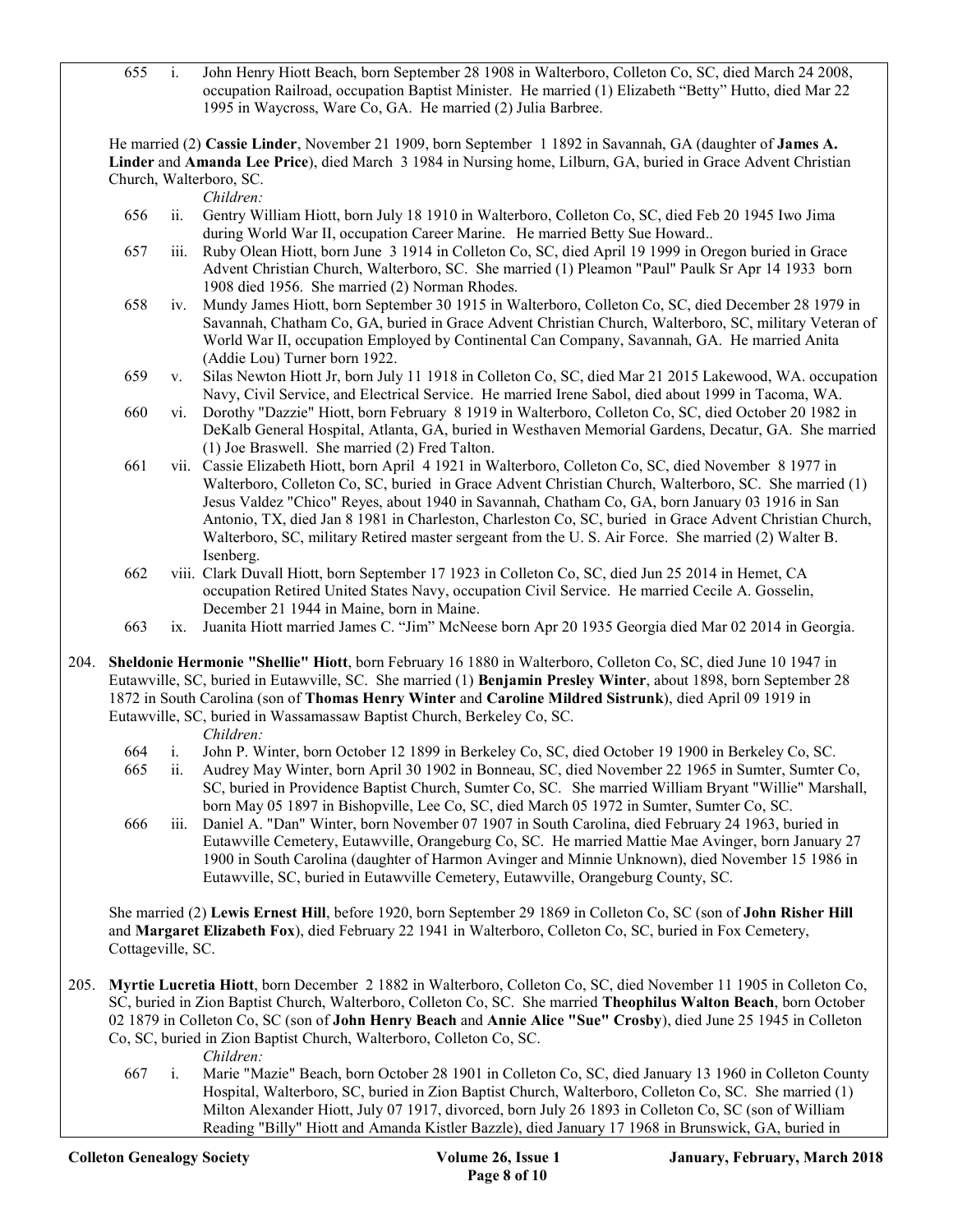655 i. John Henry Hiott Beach, born September 28 1908 in Walterboro, Colleton Co, SC, died March 24 2008, occupation Railroad, occupation Baptist Minister. He married (1) Elizabeth "Betty" Hutto, died Mar 22 1995 in Waycross, Ware Co, GA. He married (2) Julia Barbree.

 He married (2) Cassie Linder, November 21 1909, born September 1 1892 in Savannah, GA (daughter of James A. Linder and Amanda Lee Price), died March 3 1984 in Nursing home, Lilburn, GA, buried in Grace Advent Christian Church, Walterboro, SC.

Children:

- 656 ii. Gentry William Hiott, born July 18 1910 in Walterboro, Colleton Co, SC, died Feb 20 1945 Iwo Jima during World War II, occupation Career Marine. He married Betty Sue Howard..
- 657 iii. Ruby Olean Hiott, born June 3 1914 in Colleton Co, SC, died April 19 1999 in Oregon buried in Grace Advent Christian Church, Walterboro, SC. She married (1) Pleamon "Paul" Paulk Sr Apr 14 1933 born 1908 died 1956. She married (2) Norman Rhodes.
- 658 iv. Mundy James Hiott, born September 30 1915 in Walterboro, Colleton Co, SC, died December 28 1979 in Savannah, Chatham Co, GA, buried in Grace Advent Christian Church, Walterboro, SC, military Veteran of World War II, occupation Employed by Continental Can Company, Savannah, GA. He married Anita (Addie Lou) Turner born 1922.
- 659 v. Silas Newton Hiott Jr, born July 11 1918 in Colleton Co, SC, died Mar 21 2015 Lakewood, WA. occupation Navy, Civil Service, and Electrical Service. He married Irene Sabol, died about 1999 in Tacoma, WA.
- 660 vi. Dorothy "Dazzie" Hiott, born February 8 1919 in Walterboro, Colleton Co, SC, died October 20 1982 in DeKalb General Hospital, Atlanta, GA, buried in Westhaven Memorial Gardens, Decatur, GA. She married (1) Joe Braswell. She married (2) Fred Talton.
- 661 vii. Cassie Elizabeth Hiott, born April 4 1921 in Walterboro, Colleton Co, SC, died November 8 1977 in Walterboro, Colleton Co, SC, buried in Grace Advent Christian Church, Walterboro, SC. She married (1) Jesus Valdez "Chico" Reyes, about 1940 in Savannah, Chatham Co, GA, born January 03 1916 in San Antonio, TX, died Jan 8 1981 in Charleston, Charleston Co, SC, buried in Grace Advent Christian Church, Walterboro, SC, military Retired master sergeant from the U. S. Air Force. She married (2) Walter B. Isenberg.
- 662 viii. Clark Duvall Hiott, born September 17 1923 in Colleton Co, SC, died Jun 25 2014 in Hemet, CA occupation Retired United States Navy, occupation Civil Service. He married Cecile A. Gosselin, December 21 1944 in Maine, born in Maine.
- 663 ix. Juanita Hiott married James C. "Jim" McNeese born Apr 20 1935 Georgia died Mar 02 2014 in Georgia.

204. Sheldonie Hermonie "Shellie" Hiott, born February 16 1880 in Walterboro, Colleton Co, SC, died June 10 1947 in Eutawville, SC, buried in Eutawville, SC. She married (1) Benjamin Presley Winter, about 1898, born September 28 1872 in South Carolina (son of Thomas Henry Winter and Caroline Mildred Sistrunk), died April 09 1919 in Eutawville, SC, buried in Wassamassaw Baptist Church, Berkeley Co, SC.

Children:

- 664 i. John P. Winter, born October 12 1899 in Berkeley Co, SC, died October 19 1900 in Berkeley Co, SC.
- 665 ii. Audrey May Winter, born April 30 1902 in Bonneau, SC, died November 22 1965 in Sumter, Sumter Co, SC, buried in Providence Baptist Church, Sumter Co, SC. She married William Bryant "Willie" Marshall, born May 05 1897 in Bishopville, Lee Co, SC, died March 05 1972 in Sumter, Sumter Co, SC.
- 666 iii. Daniel A. "Dan" Winter, born November 07 1907 in South Carolina, died February 24 1963, buried in Eutawville Cemetery, Eutawville, Orangeburg Co, SC. He married Mattie Mae Avinger, born January 27 1900 in South Carolina (daughter of Harmon Avinger and Minnie Unknown), died November 15 1986 in Eutawville, SC, buried in Eutawville Cemetery, Eutawville, Orangeburg County, SC.

 She married (2) Lewis Ernest Hill, before 1920, born September 29 1869 in Colleton Co, SC (son of John Risher Hill and Margaret Elizabeth Fox), died February 22 1941 in Walterboro, Colleton Co, SC, buried in Fox Cemetery, Cottageville, SC.

205. Myrtie Lucretia Hiott, born December 2 1882 in Walterboro, Colleton Co, SC, died November 11 1905 in Colleton Co, SC, buried in Zion Baptist Church, Walterboro, Colleton Co, SC. She married Theophilus Walton Beach, born October 02 1879 in Colleton Co, SC (son of John Henry Beach and Annie Alice "Sue" Crosby), died June 25 1945 in Colleton Co, SC, buried in Zion Baptist Church, Walterboro, Colleton Co, SC.

Children:

 667 i. Marie "Mazie" Beach, born October 28 1901 in Colleton Co, SC, died January 13 1960 in Colleton County Hospital, Walterboro, SC, buried in Zion Baptist Church, Walterboro, Colleton Co, SC. She married (1) Milton Alexander Hiott, July 07 1917, divorced, born July 26 1893 in Colleton Co, SC (son of William Reading "Billy" Hiott and Amanda Kistler Bazzle), died January 17 1968 in Brunswick, GA, buried in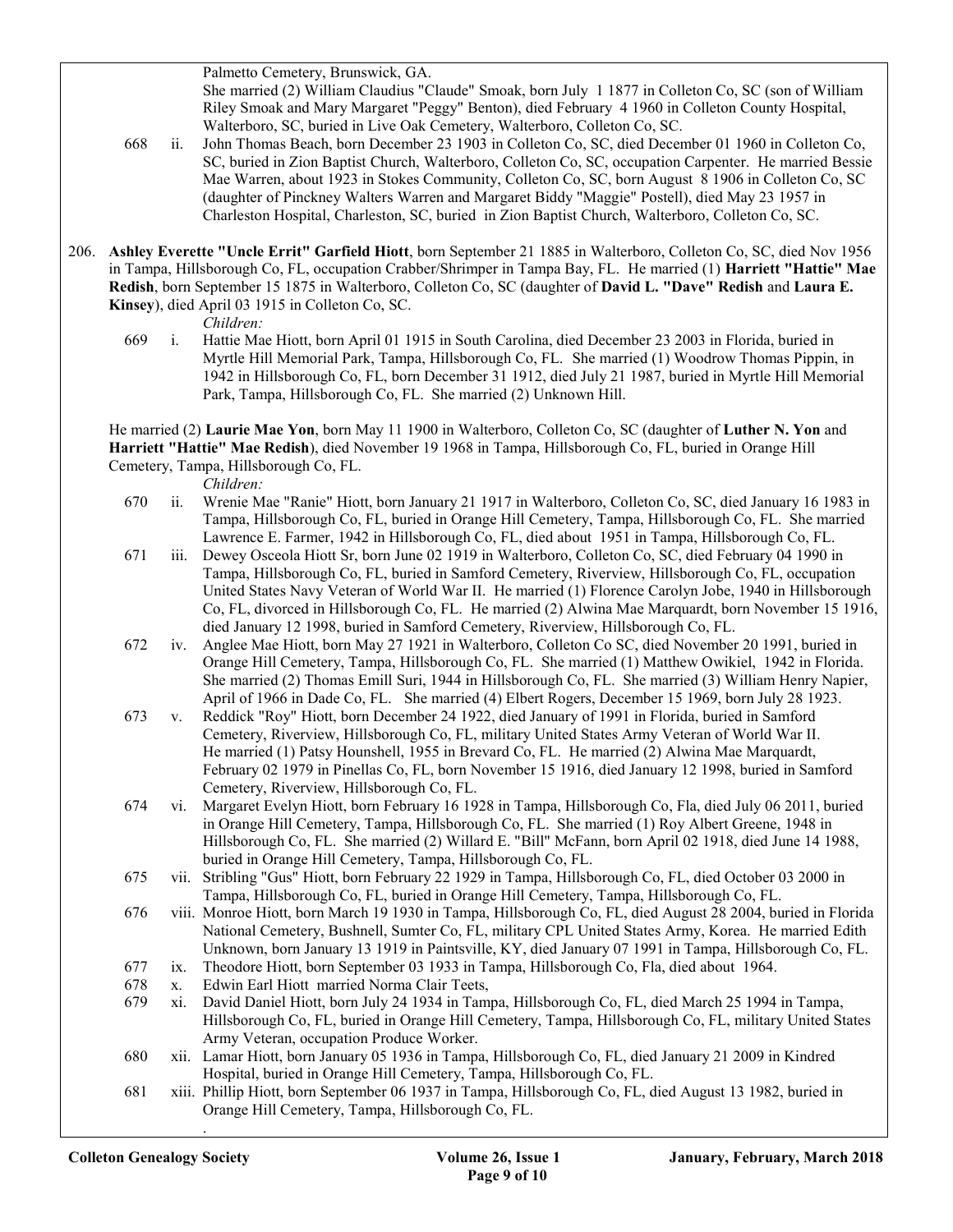Palmetto Cemetery, Brunswick, GA.

 She married (2) William Claudius "Claude" Smoak, born July 1 1877 in Colleton Co, SC (son of William Riley Smoak and Mary Margaret "Peggy" Benton), died February 4 1960 in Colleton County Hospital, Walterboro, SC, buried in Live Oak Cemetery, Walterboro, Colleton Co, SC.

- 668 ii. John Thomas Beach, born December 23 1903 in Colleton Co, SC, died December 01 1960 in Colleton Co, SC, buried in Zion Baptist Church, Walterboro, Colleton Co, SC, occupation Carpenter. He married Bessie Mae Warren, about 1923 in Stokes Community, Colleton Co, SC, born August 8 1906 in Colleton Co, SC (daughter of Pinckney Walters Warren and Margaret Biddy "Maggie" Postell), died May 23 1957 in Charleston Hospital, Charleston, SC, buried in Zion Baptist Church, Walterboro, Colleton Co, SC.
- 206. Ashley Everette "Uncle Errit" Garfield Hiott, born September 21 1885 in Walterboro, Colleton Co, SC, died Nov 1956 in Tampa, Hillsborough Co, FL, occupation Crabber/Shrimper in Tampa Bay, FL. He married (1) Harriett "Hattie" Mae Redish, born September 15 1875 in Walterboro, Colleton Co, SC (daughter of David L. "Dave" Redish and Laura E. Kinsey), died April 03 1915 in Colleton Co, SC.

Children:

 669 i. Hattie Mae Hiott, born April 01 1915 in South Carolina, died December 23 2003 in Florida, buried in Myrtle Hill Memorial Park, Tampa, Hillsborough Co, FL. She married (1) Woodrow Thomas Pippin, in 1942 in Hillsborough Co, FL, born December 31 1912, died July 21 1987, buried in Myrtle Hill Memorial Park, Tampa, Hillsborough Co, FL. She married (2) Unknown Hill.

 He married (2) Laurie Mae Yon, born May 11 1900 in Walterboro, Colleton Co, SC (daughter of Luther N. Yon and Harriett "Hattie" Mae Redish), died November 19 1968 in Tampa, Hillsborough Co, FL, buried in Orange Hill Cemetery, Tampa, Hillsborough Co, FL.

Children:

- 670 ii. Wrenie Mae "Ranie" Hiott, born January 21 1917 in Walterboro, Colleton Co, SC, died January 16 1983 in Tampa, Hillsborough Co, FL, buried in Orange Hill Cemetery, Tampa, Hillsborough Co, FL. She married Lawrence E. Farmer, 1942 in Hillsborough Co, FL, died about 1951 in Tampa, Hillsborough Co, FL.
- 671 iii. Dewey Osceola Hiott Sr, born June 02 1919 in Walterboro, Colleton Co, SC, died February 04 1990 in Tampa, Hillsborough Co, FL, buried in Samford Cemetery, Riverview, Hillsborough Co, FL, occupation United States Navy Veteran of World War II. He married (1) Florence Carolyn Jobe, 1940 in Hillsborough Co, FL, divorced in Hillsborough Co, FL. He married (2) Alwina Mae Marquardt, born November 15 1916, died January 12 1998, buried in Samford Cemetery, Riverview, Hillsborough Co, FL.
- 672 iv. Anglee Mae Hiott, born May 27 1921 in Walterboro, Colleton Co SC, died November 20 1991, buried in Orange Hill Cemetery, Tampa, Hillsborough Co, FL. She married (1) Matthew Owikiel, 1942 in Florida. She married (2) Thomas Emill Suri, 1944 in Hillsborough Co, FL. She married (3) William Henry Napier, April of 1966 in Dade Co, FL. She married (4) Elbert Rogers, December 15 1969, born July 28 1923.
- 673 v. Reddick "Roy" Hiott, born December 24 1922, died January of 1991 in Florida, buried in Samford Cemetery, Riverview, Hillsborough Co, FL, military United States Army Veteran of World War II. He married (1) Patsy Hounshell, 1955 in Brevard Co, FL. He married (2) Alwina Mae Marquardt, February 02 1979 in Pinellas Co, FL, born November 15 1916, died January 12 1998, buried in Samford Cemetery, Riverview, Hillsborough Co, FL.
- 674 vi. Margaret Evelyn Hiott, born February 16 1928 in Tampa, Hillsborough Co, Fla, died July 06 2011, buried in Orange Hill Cemetery, Tampa, Hillsborough Co, FL. She married (1) Roy Albert Greene, 1948 in Hillsborough Co, FL. She married (2) Willard E. "Bill" McFann, born April 02 1918, died June 14 1988, buried in Orange Hill Cemetery, Tampa, Hillsborough Co, FL.
- 675 vii. Stribling "Gus" Hiott, born February 22 1929 in Tampa, Hillsborough Co, FL, died October 03 2000 in Tampa, Hillsborough Co, FL, buried in Orange Hill Cemetery, Tampa, Hillsborough Co, FL.
- 676 viii. Monroe Hiott, born March 19 1930 in Tampa, Hillsborough Co, FL, died August 28 2004, buried in Florida National Cemetery, Bushnell, Sumter Co, FL, military CPL United States Army, Korea. He married Edith Unknown, born January 13 1919 in Paintsville, KY, died January 07 1991 in Tampa, Hillsborough Co, FL.
- 677 ix. Theodore Hiott, born September 03 1933 in Tampa, Hillsborough Co, Fla, died about 1964.
- 678 x. Edwin Earl Hiott married Norma Clair Teets,
- 679 xi. David Daniel Hiott, born July 24 1934 in Tampa, Hillsborough Co, FL, died March 25 1994 in Tampa, Hillsborough Co, FL, buried in Orange Hill Cemetery, Tampa, Hillsborough Co, FL, military United States Army Veteran, occupation Produce Worker.
- 680 xii. Lamar Hiott, born January 05 1936 in Tampa, Hillsborough Co, FL, died January 21 2009 in Kindred Hospital, buried in Orange Hill Cemetery, Tampa, Hillsborough Co, FL.
- 681 xiii. Phillip Hiott, born September 06 1937 in Tampa, Hillsborough Co, FL, died August 13 1982, buried in Orange Hill Cemetery, Tampa, Hillsborough Co, FL. .